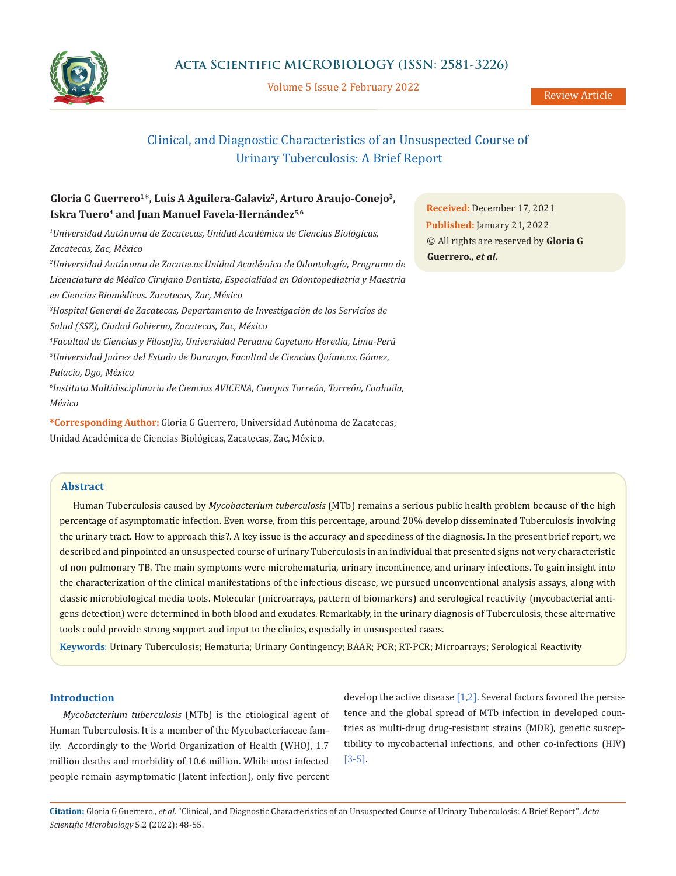

Volume 5 Issue 2 February 2022

# Clinical, and Diagnostic Characteristics of an Unsuspected Course of Urinary Tuberculosis: A Brief Report

## **Gloria G Guerrero1\*, Luis A Aguilera-Galaviz2, Arturo Araujo-Conejo3,**  Iskra Tuero<sup>4</sup> and Juan Manuel Favela-Hernández<sup>5,6</sup>

*1 Universidad Autónoma de Zacatecas, Unidad Académica de Ciencias Biológicas, Zacatecas, Zac, México*

*2 Universidad Autónoma de Zacatecas Unidad Académica de Odontología, Programa de Licenciatura de Médico Cirujano Dentista, Especialidad en Odontopediatría y Maestría en Ciencias Biomédicas. Zacatecas, Zac, México*

*3 Hospital General de Zacatecas, Departamento de Investigación de los Servicios de Salud (SSZ), Ciudad Gobierno, Zacatecas, Zac, México*

*4 Facultad de Ciencias y Filosofía, Universidad Peruana Cayetano Heredia, Lima-Perú 5 Universidad Juárez del Estado de Durango, Facultad de Ciencias Químicas, Gómez, Palacio, Dgo, México*

*6 Instituto Multidisciplinario de Ciencias AVICENA, Campus Torreón, Torreón, Coahuila, México*

**\*Corresponding Author:** Gloria G Guerrero, Universidad Autónoma de Zacatecas, Unidad Académica de Ciencias Biológicas, Zacatecas, Zac, México.

**Received:** December 17, 2021 **Published:** January 21, 2022 © All rights are reserved by **Gloria G Guerrero.,** *et al***.**

## **Abstract**

Human Tuberculosis caused by *Mycobacterium tuberculosis* (MTb) remains a serious public health problem because of the high percentage of asymptomatic infection. Even worse, from this percentage, around 20% develop disseminated Tuberculosis involving the urinary tract. How to approach this?. A key issue is the accuracy and speediness of the diagnosis. In the present brief report, we described and pinpointed an unsuspected course of urinary Tuberculosis in an individual that presented signs not very characteristic of non pulmonary TB. The main symptoms were microhematuria, urinary incontinence, and urinary infections. To gain insight into the characterization of the clinical manifestations of the infectious disease, we pursued unconventional analysis assays, along with classic microbiological media tools. Molecular (microarrays, pattern of biomarkers) and serological reactivity (mycobacterial antigens detection) were determined in both blood and exudates. Remarkably, in the urinary diagnosis of Tuberculosis, these alternative tools could provide strong support and input to the clinics, especially in unsuspected cases.

**Keywords**: Urinary Tuberculosis; Hematuria; Urinary Contingency; BAAR; PCR; RT-PCR; Microarrays; Serological Reactivity

#### **Introduction**

*Mycobacterium tuberculosis* (MTb) is the etiological agent of Human Tuberculosis. It is a member of the Mycobacteriaceae family. Accordingly to the World Organization of Health (WHO), 1.7 million deaths and morbidity of 10.6 million. While most infected people remain asymptomatic (latent infection), only five percent develop the active disease  $[1,2]$ . Several factors favored the persistence and the global spread of MTb infection in developed countries as multi-drug drug-resistant strains (MDR), genetic susceptibility to mycobacterial infections, and other co-infections (HIV) [3-5].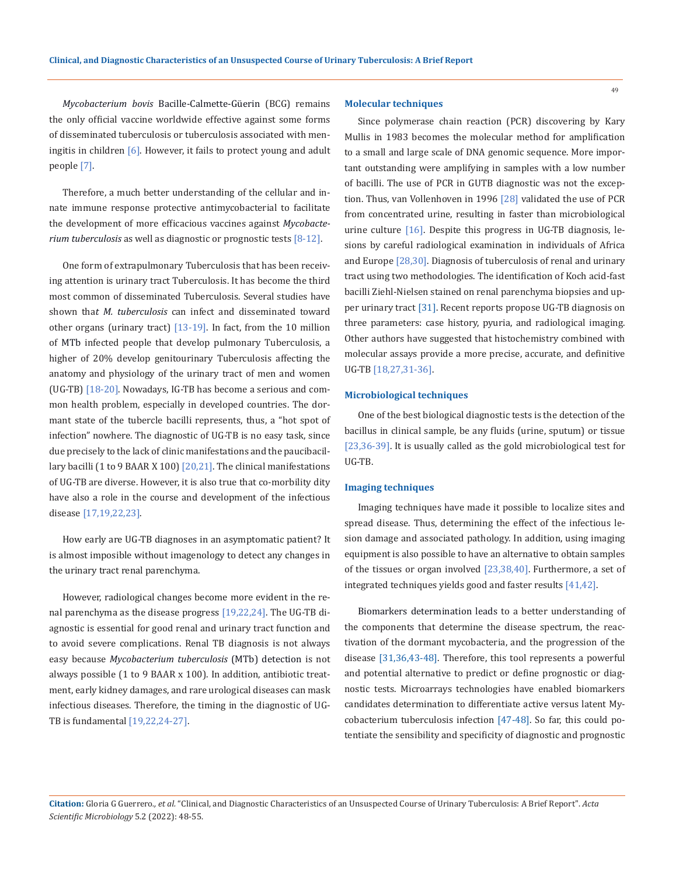*Mycobacterium bovis* Bacille-Calmette-Güerin (BCG) remains the only official vaccine worldwide effective against some forms of disseminated tuberculosis or tuberculosis associated with meningitis in children [6]. However, it fails to protect young and adult people [7].

Therefore, a much better understanding of the cellular and innate immune response protective antimycobacterial to facilitate the development of more efficacious vaccines against *Mycobacterium tuberculosis* as well as diagnostic or prognostic tests [8-12].

One form of extrapulmonary Tuberculosis that has been receiving attention is urinary tract Tuberculosis. It has become the third most common of disseminated Tuberculosis. Several studies have shown tha*t M. tuberculosis* can infect and disseminated toward other organs (urinary tract) [13-19]. In fact, from the 10 million of MTb infected people that develop pulmonary Tuberculosis, a higher of 20% develop genitourinary Tuberculosis affecting the anatomy and physiology of the urinary tract of men and women (UG-TB) [18-20]. Nowadays, IG-TB has become a serious and common health problem, especially in developed countries. The dormant state of the tubercle bacilli represents, thus, a "hot spot of infection" nowhere. The diagnostic of UG-TB is no easy task, since due precisely to the lack of clinic manifestations and the paucibacillary bacilli (1 to 9 BAAR X 100)  $[20,21]$ . The clinical manifestations of UG-TB are diverse. However, it is also true that co-morbility dity have also a role in the course and development of the infectious disease [17,19,22,23].

How early are UG-TB diagnoses in an asymptomatic patient? It is almost imposible without imagenology to detect any changes in the urinary tract renal parenchyma.

However, radiological changes become more evident in the renal parenchyma as the disease progress [19,22,24]. The UG-TB diagnostic is essential for good renal and urinary tract function and to avoid severe complications. Renal TB diagnosis is not always easy because *Mycobacterium tuberculosis* (MTb) detection is not always possible (1 to 9 BAAR x 100). In addition, antibiotic treatment, early kidney damages, and rare urological diseases can mask infectious diseases. Therefore, the timing in the diagnostic of UG-TB is fundamental [19,22,24-27].

#### **Molecular techniques**

Since polymerase chain reaction (PCR) discovering by Kary Mullis in 1983 becomes the molecular method for amplification to a small and large scale of DNA genomic sequence. More important outstanding were amplifying in samples with a low number of bacilli. The use of PCR in GUTB diagnostic was not the exception. Thus, van Vollenhoven in 1996 [28] validated the use of PCR from concentrated urine, resulting in faster than microbiological urine culture [16]. Despite this progress in UG-TB diagnosis, lesions by careful radiological examination in individuals of Africa and Europe [28,30]. Diagnosis of tuberculosis of renal and urinary tract using two methodologies. The identification of Koch acid-fast bacilli Ziehl-Nielsen stained on renal parenchyma biopsies and upper urinary tract [31]. Recent reports propose UG-TB diagnosis on three parameters: case history, pyuria, and radiological imaging. Other authors have suggested that histochemistry combined with molecular assays provide a more precise, accurate, and definitive UG-TB [18,27,31-36].

#### **Microbiological techniques**

One of the best biological diagnostic tests is the detection of the bacillus in clinical sample, be any fluids (urine, sputum) or tissue [23,36-39]. It is usually called as the gold microbiological test for UG-TB.

#### **Imaging techniques**

Imaging techniques have made it possible to localize sites and spread disease. Thus, determining the effect of the infectious lesion damage and associated pathology. In addition, using imaging equipment is also possible to have an alternative to obtain samples of the tissues or organ involved [23,38,40]. Furthermore, a set of integrated techniques yields good and faster results [41,42].

Biomarkers determination leads to a better understanding of the components that determine the disease spectrum, the reactivation of the dormant mycobacteria, and the progression of the disease [31,36,43-48]. Therefore, this tool represents a powerful and potential alternative to predict or define prognostic or diagnostic tests. Microarrays technologies have enabled biomarkers candidates determination to differentiate active versus latent Mycobacterium tuberculosis infection [47-48]. So far, this could potentiate the sensibility and specificity of diagnostic and prognostic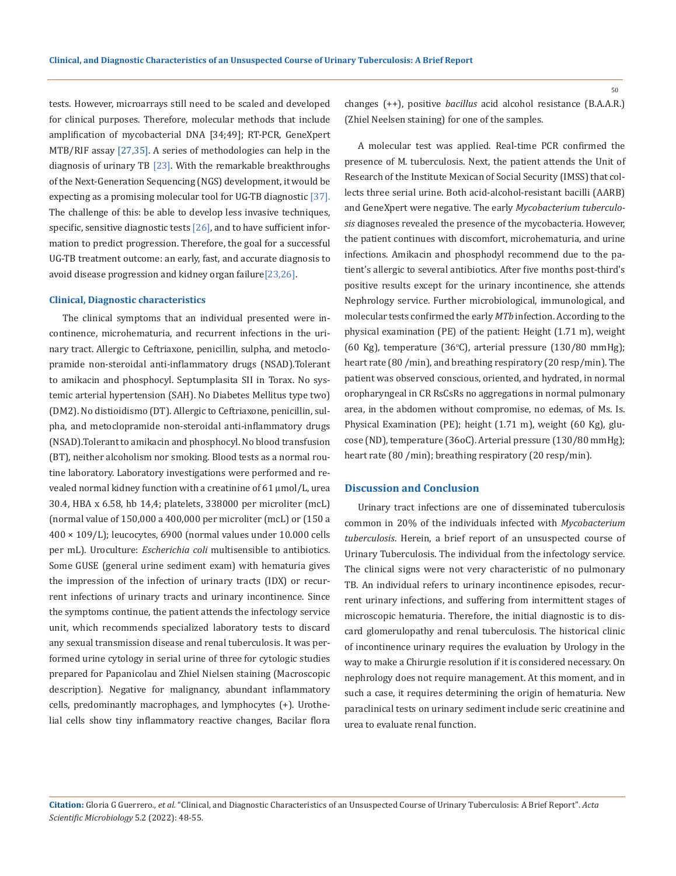tests. However, microarrays still need to be scaled and developed for clinical purposes. Therefore, molecular methods that include amplification of mycobacterial DNA [34;49]; RT-PCR, GeneXpert MTB/RIF assay [27,35]. A series of methodologies can help in the diagnosis of urinary TB  $[23]$ . With the remarkable breakthroughs of the Next-Generation Sequencing (NGS) development, it would be expecting as a promising molecular tool for UG-TB diagnostic [37]. The challenge of this: be able to develop less invasive techniques, specific, sensitive diagnostic tests  $[26]$ , and to have sufficient information to predict progression. Therefore, the goal for a successful UG-TB treatment outcome: an early, fast, and accurate diagnosis to avoid disease progression and kidney organ failure[23,26].

#### **Clinical, Diagnostic characteristics**

The clinical symptoms that an individual presented were incontinence, microhematuria, and recurrent infections in the urinary tract. Allergic to Ceftriaxone, penicillin, sulpha, and metoclopramide non-steroidal anti-inflammatory drugs (NSAD).Tolerant to amikacin and phosphocyl. Septumplasita SII in Torax. No systemic arterial hypertension (SAH). No Diabetes Mellitus type two) (DM2). No distioidismo (DT). Allergic to Ceftriaxone, penicillin, sulpha, and metoclopramide non-steroidal anti-inflammatory drugs (NSAD).Tolerant to amikacin and phosphocyl. No blood transfusion (BT), neither alcoholism nor smoking. Blood tests as a normal routine laboratory. Laboratory investigations were performed and revealed normal kidney function with a creatinine of 61 µmol/L, urea 30.4, HBA x 6.58, hb 14,4; platelets, 338000 per microliter (mcL) (normal value of 150,000 a 400,000 per microliter (mcL) or (150 a 400 × 109/L); leucocytes, 6900 (normal values under 10.000 cells per mL). Uroculture: *Escherichia coli* multisensible to antibiotics. Some GUSE (general urine sediment exam) with hematuria gives the impression of the infection of urinary tracts (IDX) or recurrent infections of urinary tracts and urinary incontinence. Since the symptoms continue, the patient attends the infectology service unit, which recommends specialized laboratory tests to discard any sexual transmission disease and renal tuberculosis. It was performed urine cytology in serial urine of three for cytologic studies prepared for Papanicolau and Zhiel Nielsen staining (Macroscopic description). Negative for malignancy, abundant inflammatory cells, predominantly macrophages, and lymphocytes (+). Urothelial cells show tiny inflammatory reactive changes, Bacilar flora

changes (++), positive *bacillus* acid alcohol resistance (B.A.A.R.) (Zhiel Neelsen staining) for one of the samples.

A molecular test was applied. Real-time PCR confirmed the presence of M. tuberculosis. Next, the patient attends the Unit of Research of the Institute Mexican of Social Security (IMSS) that collects three serial urine. Both acid-alcohol-resistant bacilli (AARB) and GeneXpert were negative. The early *Mycobacterium tuberculosis* diagnoses revealed the presence of the mycobacteria. However, the patient continues with discomfort, microhematuria, and urine infections. Amikacin and phosphodyl recommend due to the patient's allergic to several antibiotics. After five months post-third's positive results except for the urinary incontinence, she attends Nephrology service. Further microbiological, immunological, and molecular tests confirmed the early *MTb* infection. According to the physical examination (PE) of the patient: Height (1.71 m), weight (60 Kg), temperature (36°C), arterial pressure (130/80 mmHg); heart rate (80 /min), and breathing respiratory (20 resp/min). The patient was observed conscious, oriented, and hydrated, in normal oropharyngeal in CR RsCsRs no aggregations in normal pulmonary area, in the abdomen without compromise, no edemas, of Ms. Is. Physical Examination (PE); height (1.71 m), weight (60 Kg), glucose (ND), temperature (36oC). Arterial pressure (130/80 mmHg); heart rate (80 /min); breathing respiratory (20 resp/min).

#### **Discussion and Conclusion**

Urinary tract infections are one of disseminated tuberculosis common in 20% of the individuals infected with *Mycobacterium tuberculosis*. Herein, a brief report of an unsuspected course of Urinary Tuberculosis. The individual from the infectology service. The clinical signs were not very characteristic of no pulmonary TB. An individual refers to urinary incontinence episodes, recurrent urinary infections, and suffering from intermittent stages of microscopic hematuria. Therefore, the initial diagnostic is to discard glomerulopathy and renal tuberculosis. The historical clinic of incontinence urinary requires the evaluation by Urology in the way to make a Chirurgie resolution if it is considered necessary. On nephrology does not require management. At this moment, and in such a case, it requires determining the origin of hematuria. New paraclinical tests on urinary sediment include seric creatinine and urea to evaluate renal function.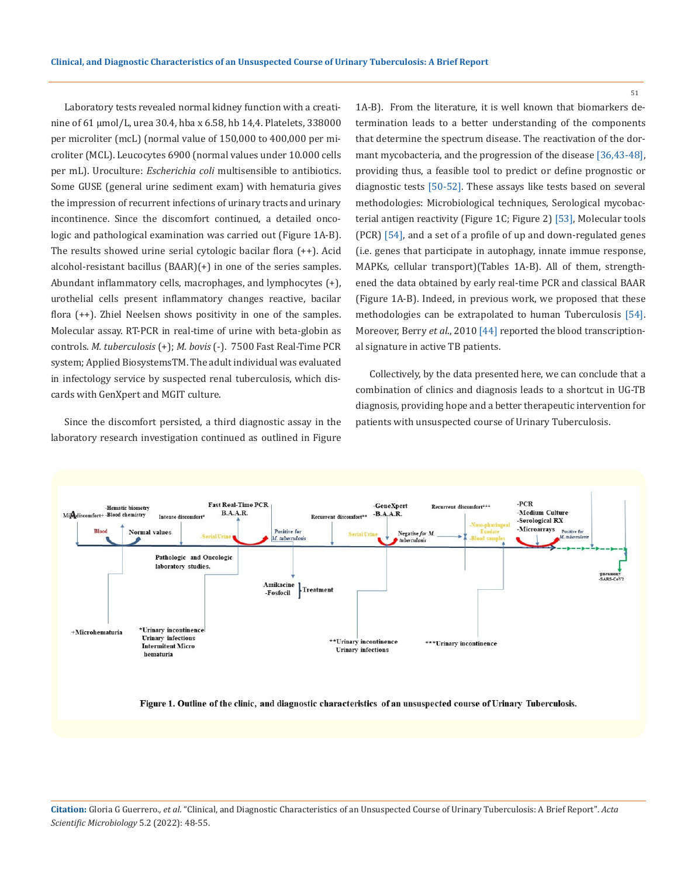Laboratory tests revealed normal kidney function with a creatinine of 61 µmol/L, urea 30.4, hba x 6.58, hb 14,4. Platelets, 338000 per microliter (mcL) (normal value of 150,000 to 400,000 per microliter (MCL). Leucocytes 6900 (normal values under 10.000 cells per mL). Uroculture: *Escherichia coli* multisensible to antibiotics. Some GUSE (general urine sediment exam) with hematuria gives the impression of recurrent infections of urinary tracts and urinary incontinence. Since the discomfort continued, a detailed oncologic and pathological examination was carried out (Figure 1A-B). The results showed urine serial cytologic bacilar flora (++). Acid alcohol-resistant bacillus (BAAR)(+) in one of the series samples. Abundant inflammatory cells, macrophages, and lymphocytes (+), urothelial cells present inflammatory changes reactive, bacilar flora (++). Zhiel Neelsen shows positivity in one of the samples. Molecular assay. RT-PCR in real-time of urine with beta-globin as controls. *M. tuberculosis* (+); *M. bovis* (-). 7500 Fast Real-Time PCR system; Applied BiosystemsTM. The adult individual was evaluated in infectology service by suspected renal tuberculosis, which discards with GenXpert and MGIT culture.

Since the discomfort persisted, a third diagnostic assay in the laboratory research investigation continued as outlined in Figure 1A-B). From the literature, it is well known that biomarkers determination leads to a better understanding of the components that determine the spectrum disease. The reactivation of the dormant mycobacteria, and the progression of the disease [36,43-48], providing thus, a feasible tool to predict or define prognostic or diagnostic tests [50-52]. These assays like tests based on several methodologies: Microbiological techniques, Serological mycobacterial antigen reactivity (Figure 1C; Figure 2) [53], Molecular tools (PCR) [54], and a set of a profile of up and down-regulated genes (i.e. genes that participate in autophagy, innate immue response, MAPKs, cellular transport)(Tables 1A-B). All of them, strengthened the data obtained by early real-time PCR and classical BAAR (Figure 1A-B). Indeed, in previous work, we proposed that these methodologies can be extrapolated to human Tuberculosis [54]. Moreover, Berry *et al.*, 2010 [44] reported the blood transcriptional signature in active TB patients.

Collectively, by the data presented here, we can conclude that a combination of clinics and diagnosis leads to a shortcut in UG-TB diagnosis, providing hope and a better therapeutic intervention for patients with unsuspected course of Urinary Tuberculosis.



Figure 1. Outline of the clinic, and diagnostic characteristics of an unsuspected course of Urinary Tuberculosis.

**Citation:** Gloria G Guerrero*., et al.* "Clinical, and Diagnostic Characteristics of an Unsuspected Course of Urinary Tuberculosis: A Brief Report". *Acta Scientific Microbiology* 5.2 (2022): 48-55.

51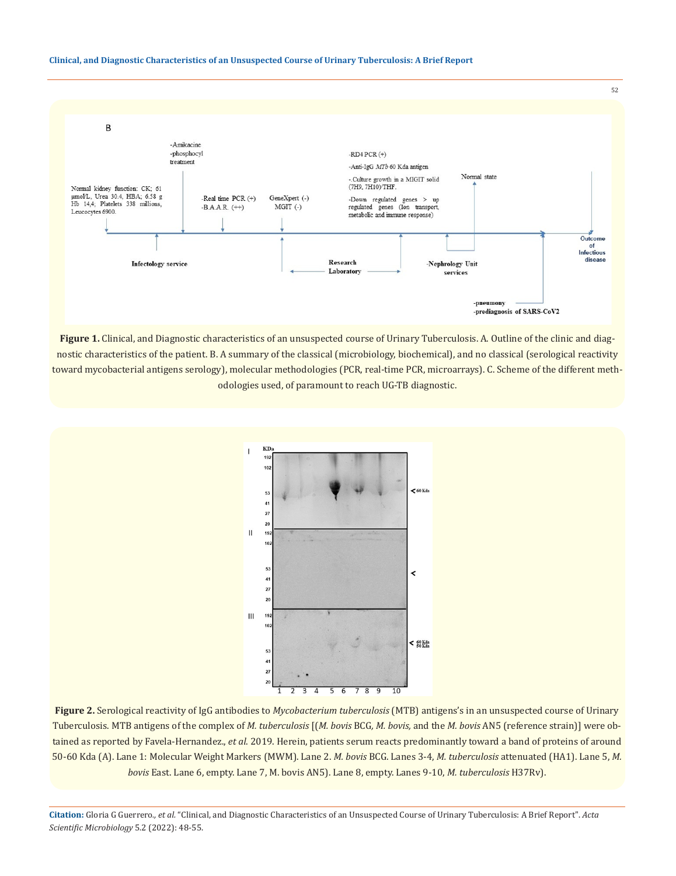#### **Clinical, and Diagnostic Characteristics of an Unsuspected Course of Urinary Tuberculosis: A Brief Report**



**Figure 1.** Clinical, and Diagnostic characteristics of an unsuspected course of Urinary Tuberculosis. A. Outline of the clinic and diagnostic characteristics of the patient. B. A summary of the classical (microbiology, biochemical), and no classical (serological reactivity toward mycobacterial antigens serology), molecular methodologies (PCR, real-time PCR, microarrays). C. Scheme of the different methodologies used, of paramount to reach UG-TB diagnostic.



**Figure 2.** Serological reactivity of IgG antibodies to *Mycobacterium tuberculosis* (MTB) antigens's in an unsuspected course of Urinary Tuberculosis. MTB antigens of the complex of *M. tuberculosis* [(*M. bovis* BCG*, M. bovis,* and the *M. bovis* AN5 (reference strain)] were obtained as reported by Favela-Hernandez., *et al*. 2019. Herein, patients serum reacts predominantly toward a band of proteins of around 50-60 Kda (A). Lane 1: Molecular Weight Markers (MWM). Lane 2. *M. bovis* BCG. Lanes 3-4, *M. tuberculosis* attenuated (HA1). Lane 5, *M. bovis* East. Lane 6, empty. Lane 7, M. bovis AN5). Lane 8, empty. Lanes 9-10, *M. tuberculosis* H37Rv).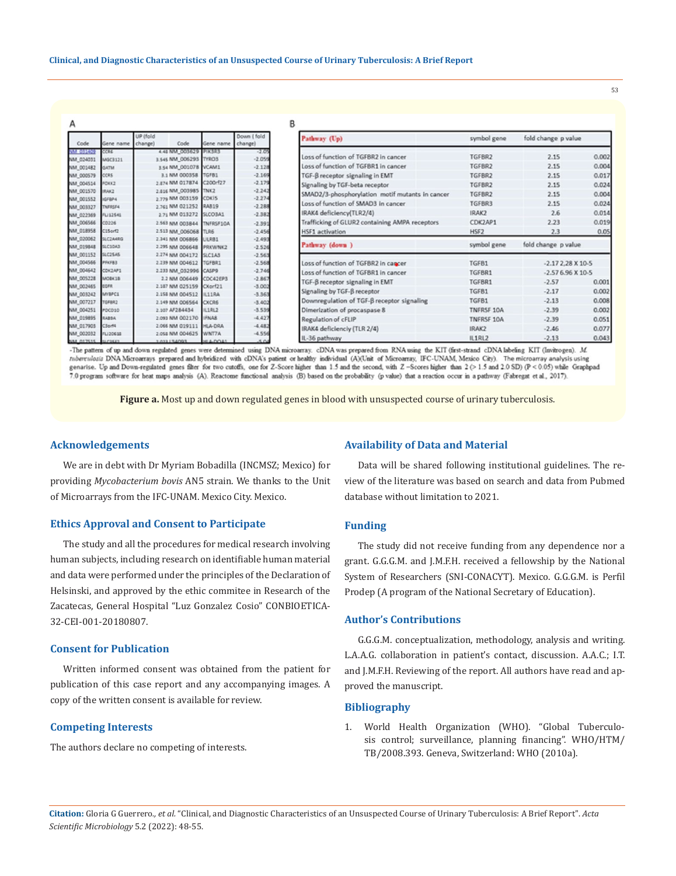|                 |                                                                                                                                                       |              |                                                                                                                                                                                                                                                                                                                                                                                                                                                                                                                                                                                                                                                              | В                                                                                                                                                                                                              |                                                                                                                                                                                                                                                                                                                                                                                                                                                                                         |                                                                                                                                                |                                                                                                                       |
|-----------------|-------------------------------------------------------------------------------------------------------------------------------------------------------|--------------|--------------------------------------------------------------------------------------------------------------------------------------------------------------------------------------------------------------------------------------------------------------------------------------------------------------------------------------------------------------------------------------------------------------------------------------------------------------------------------------------------------------------------------------------------------------------------------------------------------------------------------------------------------------|----------------------------------------------------------------------------------------------------------------------------------------------------------------------------------------------------------------|-----------------------------------------------------------------------------------------------------------------------------------------------------------------------------------------------------------------------------------------------------------------------------------------------------------------------------------------------------------------------------------------------------------------------------------------------------------------------------------------|------------------------------------------------------------------------------------------------------------------------------------------------|-----------------------------------------------------------------------------------------------------------------------|
| Gene name       | UP (fold                                                                                                                                              | Gene name    | Down (fold<br>change)                                                                                                                                                                                                                                                                                                                                                                                                                                                                                                                                                                                                                                        | Pathway (Up)                                                                                                                                                                                                   | symbol gene                                                                                                                                                                                                                                                                                                                                                                                                                                                                             | fold change p value                                                                                                                            |                                                                                                                       |
| CCRE            |                                                                                                                                                       |              | $-2.05$                                                                                                                                                                                                                                                                                                                                                                                                                                                                                                                                                                                                                                                      |                                                                                                                                                                                                                |                                                                                                                                                                                                                                                                                                                                                                                                                                                                                         |                                                                                                                                                | 0.002                                                                                                                 |
| MGC3121         |                                                                                                                                                       |              |                                                                                                                                                                                                                                                                                                                                                                                                                                                                                                                                                                                                                                                              |                                                                                                                                                                                                                |                                                                                                                                                                                                                                                                                                                                                                                                                                                                                         |                                                                                                                                                |                                                                                                                       |
| <b>MTAS</b>     |                                                                                                                                                       |              |                                                                                                                                                                                                                                                                                                                                                                                                                                                                                                                                                                                                                                                              |                                                                                                                                                                                                                |                                                                                                                                                                                                                                                                                                                                                                                                                                                                                         |                                                                                                                                                | 0.004                                                                                                                 |
|                 |                                                                                                                                                       |              |                                                                                                                                                                                                                                                                                                                                                                                                                                                                                                                                                                                                                                                              |                                                                                                                                                                                                                |                                                                                                                                                                                                                                                                                                                                                                                                                                                                                         |                                                                                                                                                | 0.017                                                                                                                 |
| FORK2           |                                                                                                                                                       |              |                                                                                                                                                                                                                                                                                                                                                                                                                                                                                                                                                                                                                                                              | Signaling by TGF-beta receptor                                                                                                                                                                                 | TGFBR2                                                                                                                                                                                                                                                                                                                                                                                                                                                                                  | 2.15                                                                                                                                           | 0.024                                                                                                                 |
| IRAK2           |                                                                                                                                                       |              |                                                                                                                                                                                                                                                                                                                                                                                                                                                                                                                                                                                                                                                              |                                                                                                                                                                                                                |                                                                                                                                                                                                                                                                                                                                                                                                                                                                                         |                                                                                                                                                | 0.004                                                                                                                 |
| GFBP4           |                                                                                                                                                       |              |                                                                                                                                                                                                                                                                                                                                                                                                                                                                                                                                                                                                                                                              |                                                                                                                                                                                                                |                                                                                                                                                                                                                                                                                                                                                                                                                                                                                         |                                                                                                                                                | 0.024                                                                                                                 |
|                 |                                                                                                                                                       |              |                                                                                                                                                                                                                                                                                                                                                                                                                                                                                                                                                                                                                                                              |                                                                                                                                                                                                                |                                                                                                                                                                                                                                                                                                                                                                                                                                                                                         |                                                                                                                                                |                                                                                                                       |
|                 |                                                                                                                                                       |              |                                                                                                                                                                                                                                                                                                                                                                                                                                                                                                                                                                                                                                                              |                                                                                                                                                                                                                |                                                                                                                                                                                                                                                                                                                                                                                                                                                                                         |                                                                                                                                                | 0.014                                                                                                                 |
|                 |                                                                                                                                                       |              |                                                                                                                                                                                                                                                                                                                                                                                                                                                                                                                                                                                                                                                              |                                                                                                                                                                                                                |                                                                                                                                                                                                                                                                                                                                                                                                                                                                                         |                                                                                                                                                | 0.019                                                                                                                 |
| C15orf2         |                                                                                                                                                       |              | $-2.456$                                                                                                                                                                                                                                                                                                                                                                                                                                                                                                                                                                                                                                                     | <b>HSF1</b> activation                                                                                                                                                                                         | HSF2                                                                                                                                                                                                                                                                                                                                                                                                                                                                                    | 2.3                                                                                                                                            | 0.05                                                                                                                  |
|                 |                                                                                                                                                       |              |                                                                                                                                                                                                                                                                                                                                                                                                                                                                                                                                                                                                                                                              | Pathway (down)                                                                                                                                                                                                 |                                                                                                                                                                                                                                                                                                                                                                                                                                                                                         | fold change p value                                                                                                                            |                                                                                                                       |
|                 |                                                                                                                                                       | PRKWNK2      |                                                                                                                                                                                                                                                                                                                                                                                                                                                                                                                                                                                                                                                              |                                                                                                                                                                                                                |                                                                                                                                                                                                                                                                                                                                                                                                                                                                                         |                                                                                                                                                |                                                                                                                       |
|                 |                                                                                                                                                       |              | $-2.563$                                                                                                                                                                                                                                                                                                                                                                                                                                                                                                                                                                                                                                                     |                                                                                                                                                                                                                |                                                                                                                                                                                                                                                                                                                                                                                                                                                                                         |                                                                                                                                                |                                                                                                                       |
| <b>PFICFB3</b>  |                                                                                                                                                       |              |                                                                                                                                                                                                                                                                                                                                                                                                                                                                                                                                                                                                                                                              | Loss of function of TGFBR2 in cancer                                                                                                                                                                           | TGFB1                                                                                                                                                                                                                                                                                                                                                                                                                                                                                   | $-2.172.28 \times 10.5$                                                                                                                        |                                                                                                                       |
|                 |                                                                                                                                                       |              |                                                                                                                                                                                                                                                                                                                                                                                                                                                                                                                                                                                                                                                              | Loss of function of TGFBR1 in cancer                                                                                                                                                                           | TGFBR1                                                                                                                                                                                                                                                                                                                                                                                                                                                                                  | $-2.576.96 \times 10.5$                                                                                                                        |                                                                                                                       |
| MOBILE          |                                                                                                                                                       |              | $-2.867$                                                                                                                                                                                                                                                                                                                                                                                                                                                                                                                                                                                                                                                     |                                                                                                                                                                                                                |                                                                                                                                                                                                                                                                                                                                                                                                                                                                                         |                                                                                                                                                | 0.001                                                                                                                 |
|                 |                                                                                                                                                       |              |                                                                                                                                                                                                                                                                                                                                                                                                                                                                                                                                                                                                                                                              |                                                                                                                                                                                                                |                                                                                                                                                                                                                                                                                                                                                                                                                                                                                         |                                                                                                                                                | 0.002                                                                                                                 |
|                 |                                                                                                                                                       | <b>B118A</b> |                                                                                                                                                                                                                                                                                                                                                                                                                                                                                                                                                                                                                                                              |                                                                                                                                                                                                                |                                                                                                                                                                                                                                                                                                                                                                                                                                                                                         |                                                                                                                                                |                                                                                                                       |
|                 |                                                                                                                                                       |              |                                                                                                                                                                                                                                                                                                                                                                                                                                                                                                                                                                                                                                                              |                                                                                                                                                                                                                |                                                                                                                                                                                                                                                                                                                                                                                                                                                                                         |                                                                                                                                                | 0.008                                                                                                                 |
| PDCD10          |                                                                                                                                                       |              |                                                                                                                                                                                                                                                                                                                                                                                                                                                                                                                                                                                                                                                              |                                                                                                                                                                                                                |                                                                                                                                                                                                                                                                                                                                                                                                                                                                                         |                                                                                                                                                | 0.002                                                                                                                 |
| 14254           |                                                                                                                                                       |              | $-4.427$                                                                                                                                                                                                                                                                                                                                                                                                                                                                                                                                                                                                                                                     | Regulation of cFLIP                                                                                                                                                                                            | TNFRSF 10A                                                                                                                                                                                                                                                                                                                                                                                                                                                                              | $-2.39$                                                                                                                                        | 0.051                                                                                                                 |
| C3pr14          |                                                                                                                                                       | HLA-DRA      | $-4.482$                                                                                                                                                                                                                                                                                                                                                                                                                                                                                                                                                                                                                                                     |                                                                                                                                                                                                                |                                                                                                                                                                                                                                                                                                                                                                                                                                                                                         |                                                                                                                                                | 0.077                                                                                                                 |
| <b>FLI20618</b> |                                                                                                                                                       | WNT7A        | $-4.556$                                                                                                                                                                                                                                                                                                                                                                                                                                                                                                                                                                                                                                                     |                                                                                                                                                                                                                |                                                                                                                                                                                                                                                                                                                                                                                                                                                                                         |                                                                                                                                                | 0.043                                                                                                                 |
|                 | ccas<br>TNFRSF4<br><b>FLI12545</b><br>00226<br><b>SLC2A4RG</b><br><b>SLC10A3</b><br><b>SLC25AS</b><br>COK2AP1<br>tara<br>MYBPC1<br>TGFBR2<br>41/25.02 | change)      | Code<br>4.48 NM 003629 PIK3R3<br>3.545 NM 006293 TYROS<br>3.54 NM 001078 VCAM1<br>3.1 NM 000358 TGFB1<br>2.874 NM 017874 C200rf27<br>2.816 NM_003985 TNK2<br>2.779 NM 003159 CDKIS<br>2.761 NM 021252<br>RAB19<br>2.71 NM 013272<br>SLCO3A1<br>2.563 NM 003844 TNFRSF10A<br>2.513 NM 006068 TLR6<br>2.341 NM 006866 ULR81<br>2.295 NM 006648<br>2.274 NM 004172 SLC1AS<br>2.239 NM 004612<br>TGFBR1<br>2.233 NM 032996 CASP9<br>2.2 NM 006449 CDC42EP3<br>2.187 NM 025159 CXorf21<br>2.158 NM 004512<br><b>CXCR6</b><br>2.149 NM 006564<br>2.107 AF284434<br>IL1RL2<br>2.093 NM 002170 IFNAS<br>2.066 NM 019111<br>2.058 NM 004625<br>FOOAF15501<br>HLA-DOA1 | $-2.059$<br>$-2.128$<br>$-2.169$<br>$-2.179$<br>$-2.242$<br>$-2.274$<br>$-2.288$<br>$-2.382$<br>$-2.391$<br>$-2.493$<br>$-2.526$<br>$-2.568$<br>$-2.746$<br>$-3.002$<br>$-3.363$<br>$-3.402$<br>$-3.539$<br>AB | Loss of function of TGFBR2 in cancer<br>Loss of function of TGFBR1 in cancer<br>TGF-ß receptor signaling in EMT<br>SMAD2/3-phosphorylation motif mutants in cancer<br>Loss of function of SMAD3 in cancer<br>IRAK4 deficiency(TLR2/4)<br>Trafficking of GLUR2 containing AMPA receptors<br>TGF-B receptor signaling in EMT<br>Signaling by TGF-B receptor<br>Downregulation of TGF-B receptor signaling<br>Dimerization of procaspase 8<br>IRAK4 deficiencly (TLR 2/4)<br>IL-36 pathway | TGFBR2<br>TGFBR2<br>TGFBR2<br>TGFBR2<br>TGFBR3<br>IRAK2<br>CDK2AP1<br>symbol gene<br>TGFBR1<br>TGFB1<br>TGFB1<br>TNFRSF 10A<br>IRAK2<br>IL1RL2 | 2.15<br>2.15<br>2.15<br>2.15<br>2.15<br>2.6<br>2.23<br>$-2.57$<br>$-2.17$<br>$-2.13$<br>$-2.39$<br>$-2.46$<br>$-2.13$ |

-The pattern of up and down regulated genes were determined using DNA microarray. cDNA was prepared from RNA using the KIT (first-strand cDNA labeling KIT (Invitrogen). M. Intervention of the contrasts prepared and hybridized with cDNA's patient or healthy individual (A)(Unit of Microarray, IFC-UNAM, Mexico City). The microarray analysis using<br>genarise. Up and Down-regulated genes filter for 7.0 program software for heat maps analysis (A). Reactome functional analysis (B) based on the probability (p value) that a reaction occur in a pathway (Fabregat et al., 2017).

**Figure a.** Most up and down regulated genes in blood with unsuspected course of urinary tuberculosis.

### **Acknowledgements**

We are in debt with Dr Myriam Bobadilla (INCMSZ; Mexico) for providing *Mycobacterium bovis* AN5 strain. We thanks to the Unit of Microarrays from the IFC-UNAM. Mexico City. Mexico.

#### **Ethics Approval and Consent to Participate**

The study and all the procedures for medical research involving human subjects, including research on identifiable human material and data were performed under the principles of the Declaration of Helsinski, and approved by the ethic commitee in Research of the Zacatecas, General Hospital "Luz Gonzalez Cosio" CONBIOETICA-32-CEI-001-20180807.

### **Consent for Publication**

Written informed consent was obtained from the patient for publication of this case report and any accompanying images. A copy of the written consent is available for review.

## **Competing Interests**

The authors declare no competing of interests.

#### **Availability of Data and Material**

Data will be shared following institutional guidelines. The review of the literature was based on search and data from Pubmed database without limitation to 2021.

#### **Funding**

The study did not receive funding from any dependence nor a grant. G.G.G.M. and J.M.F.H. received a fellowship by the National System of Researchers (SNI-CONACYT). Mexico. G.G.G.M. is Perfil Prodep (A program of the National Secretary of Education).

## **Author's Contributions**

G.G.G.M. conceptualization, methodology, analysis and writing. L.A.A.G. collaboration in patient's contact, discussion. A.A.C.; I.T. and J.M.F.H. Reviewing of the report. All authors have read and approved the manuscript.

## **Bibliography**

1. World Health Organization (WHO). "Global Tuberculosis control; surveillance, planning financing". WHO/HTM/ TB/2008.393. Geneva, Switzerland: WHO (2010a).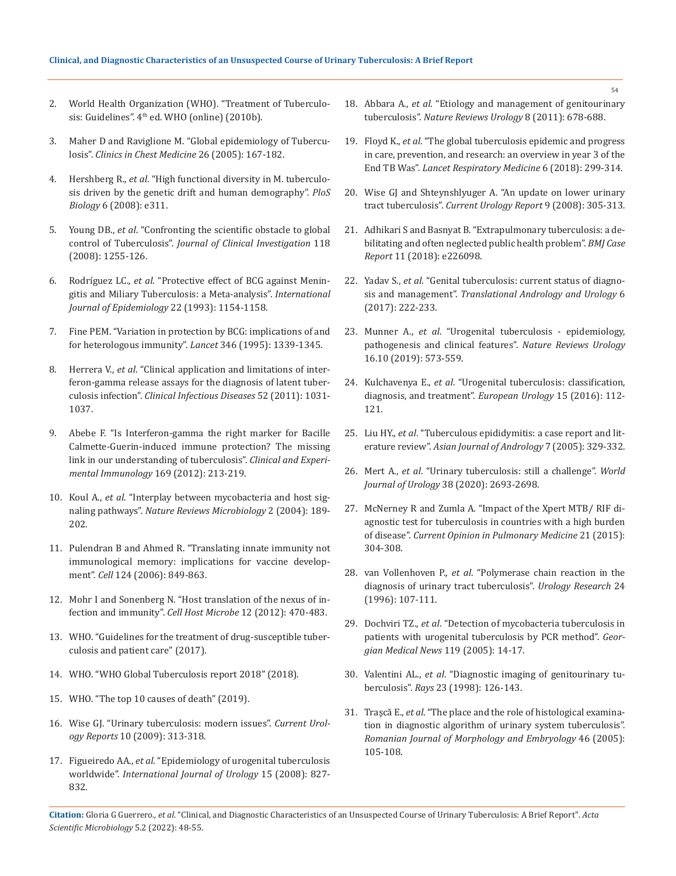- 2. World Health Organization (WHO). "Treatment of Tuberculosis: Guidelines". 4<sup>th</sup> ed. WHO (online) (2010b).
- 3. [Maher D and Raviglione M. "Global epidemiology of Tubercu](https://pubmed.ncbi.nlm.nih.gov/15837103/)losis". *[Clinics in Chest Medicine](https://pubmed.ncbi.nlm.nih.gov/15837103/)* 26 (2005): 167-182.
- 4. Hershberg R., *et al*[. "High functional diversity in M. tuberculo](https://journals.plos.org/plosbiology/article?id=10.1371/journal.pbio.0060311)[sis driven by the genetic drift and human demography".](https://journals.plos.org/plosbiology/article?id=10.1371/journal.pbio.0060311) *PloS Biology* [6 \(2008\): e311.](https://journals.plos.org/plosbiology/article?id=10.1371/journal.pbio.0060311)
- 5. Young DB., *et al*[. "Confronting the scientific obstacle to global](https://www.jci.org/articles/view/34614)  control of Tuberculosis". *[Journal of Clinical Investigation](https://www.jci.org/articles/view/34614)* 118 [\(2008\): 1255-126.](https://www.jci.org/articles/view/34614)
- 6. Rodríguez LC., *et al*[. "Protective effect of BCG against Menin](https://pubmed.ncbi.nlm.nih.gov/8144299/)[gitis and Miliary Tuberculosis: a Meta-analysis".](https://pubmed.ncbi.nlm.nih.gov/8144299/) *International [Journal of Epidemiology](https://pubmed.ncbi.nlm.nih.gov/8144299/)* 22 (1993): 1154-1158.
- 7. [Fine PEM. "Variation in protection by BCG: implications of and](https://pubmed.ncbi.nlm.nih.gov/7475776/)  [for heterologous immunity".](https://pubmed.ncbi.nlm.nih.gov/7475776/) *Lancet* 346 (1995): 1339-1345.
- 8. Herrera V., *et al*[. "Clinical application and limitations of inter](https://pubmed.ncbi.nlm.nih.gov/21460320/)[feron-gamma release assays for the diagnosis of latent tuber](https://pubmed.ncbi.nlm.nih.gov/21460320/)culosis infection". *[Clinical Infectious Diseases](https://pubmed.ncbi.nlm.nih.gov/21460320/)* 52 (2011): 1031- [1037.](https://pubmed.ncbi.nlm.nih.gov/21460320/)
- 9. [Abebe F. "Is Interferon-gamma the right marker for Bacille](https://pubmed.ncbi.nlm.nih.gov/22861360/)  [Calmette-Guerin-induced immune protection? The missing](https://pubmed.ncbi.nlm.nih.gov/22861360/)  [link in our understanding of tuberculosis".](https://pubmed.ncbi.nlm.nih.gov/22861360/) *Clinical and Experi[mental Immunology](https://pubmed.ncbi.nlm.nih.gov/22861360/)* 169 (2012): 213-219.
- 10. Koul A., *et al*[. "Interplay between mycobacteria and host sig](https://www.nature.com/articles/nrmicro840)naling pathways". *[Nature Reviews](https://www.nature.com/articles/nrmicro840) Microbiology* 2 (2004): 189- [202.](https://www.nature.com/articles/nrmicro840)
- 11. [Pulendran B and Ahmed R. "Translating innate immunity not](https://pubmed.ncbi.nlm.nih.gov/16497593/)  [immunological memory: implications for vaccine develop](https://pubmed.ncbi.nlm.nih.gov/16497593/)ment". *Cell* [124 \(2006\): 849-863.](https://pubmed.ncbi.nlm.nih.gov/16497593/)
- 12. [Mohr I and Sonenberg N. "Host translation of the nexus of in](https://pubmed.ncbi.nlm.nih.gov/23084916/)[fection and immunity".](https://pubmed.ncbi.nlm.nih.gov/23084916/) *Cell Host Microbe* 12 (2012): 470-483.
- 13. [WHO. "Guidelines for the treatment of drug-susceptible tuber](http://apps.who.int/iris/bitstream/10665/255052/1/9789241550000-eng.pdf?ua=1)[culosis and patient care" \(2017\).](http://apps.who.int/iris/bitstream/10665/255052/1/9789241550000-eng.pdf?ua=1)
- 14. [WHO. "WHO Global Tuberculosis report 2018" \(2018\).](http://who.int/tb/publications/global_report/en/)
- 15. [WHO. "The top 10 causes of death" \(2019\).](https://www.who.int/news-room/fact%20sheets/detail/the-top10-causes-of-death)
- 16. Wise GJ. "Urinary tuberculosis: modern issues". *Current Urology Reports* 10 (2009): 313-318.
- 17. Figueiredo AA., *et al*[. "Epidemiology of urogenital tuberculosis](https://pubmed.ncbi.nlm.nih.gov/18637157/)  worldwide". *[International Journal of Urology](https://pubmed.ncbi.nlm.nih.gov/18637157/)* 15 (2008): 827- [832.](https://pubmed.ncbi.nlm.nih.gov/18637157/)
- 18. Abbara A., *et al*[. "Etiology and management of genitourinary](https://pubmed.ncbi.nlm.nih.gov/22157940/)  tuberculosis". *[Nature Reviews Urology](https://pubmed.ncbi.nlm.nih.gov/22157940/)* 8 (2011): 678-688.
- 19. Floyd K., *et al*[. "The global tuberculosis epidemic and progress](https://pubmed.ncbi.nlm.nih.gov/29595511/)  [in care, prevention, and research: an overview in year 3 of the](https://pubmed.ncbi.nlm.nih.gov/29595511/)  End TB Was". *[Lancet Respiratory Medicine](https://pubmed.ncbi.nlm.nih.gov/29595511/)* 6 (2018): 299-314.
- 20. [Wise GJ and Shteynshlyuger A. "An update on lower urinary](https://pubmed.ncbi.nlm.nih.gov/18765130/)  tract tuberculosis". *[Current Urology Report](https://pubmed.ncbi.nlm.nih.gov/18765130/)* 9 (2008): 305-313.
- 21. [Adhikari S and Basnyat B. "Extrapulmonary tuberculosis: a de](https://pubmed.ncbi.nlm.nih.gov/30573534/)[bilitating and often neglected public health problem".](https://pubmed.ncbi.nlm.nih.gov/30573534/) *BMJ Case Report* [11 \(2018\): e226098.](https://pubmed.ncbi.nlm.nih.gov/30573534/)
- 22. Yadav S., *et al*[. "Genital tuberculosis: current status of diagno](https://www.ncbi.nlm.nih.gov/pmc/articles/PMC5422679/)sis and management". *[Translational Andrology and Urology](https://www.ncbi.nlm.nih.gov/pmc/articles/PMC5422679/)* 6 [\(2017\): 222-233.](https://www.ncbi.nlm.nih.gov/pmc/articles/PMC5422679/)
- 23. Munner A., *et al*[. "Urogenital tuberculosis epidemiology,](https://pubmed.ncbi.nlm.nih.gov/31548730/)  [pathogenesis and clinical features".](https://pubmed.ncbi.nlm.nih.gov/31548730/) *Nature Reviews Urology* [16.10 \(2019\): 573-559.](https://pubmed.ncbi.nlm.nih.gov/31548730/)
- 24. Kulchavenya E., *et al*[. "Urogenital tuberculosis: classification,](https://www.sciencedirect.com/science/article/abs/pii/S1569905616300471)  [diagnosis, and treatment".](https://www.sciencedirect.com/science/article/abs/pii/S1569905616300471) *European Urology* 15 (2016): 112- [121.](https://www.sciencedirect.com/science/article/abs/pii/S1569905616300471)
- 25. Liu HY., *et al*[. "Tuberculous epididymitis: a case report and lit](https://pubmed.ncbi.nlm.nih.gov/16110362/)erature review". *[Asian Journal of Andrology](https://pubmed.ncbi.nlm.nih.gov/16110362/)* 7 (2005): 329-332.
- 26. Mert A., *et al*[. "Urinary tuberculosis: still a challenge".](https://pubmed.ncbi.nlm.nih.gov/32206889/) *World Journal of Urology* [38 \(2020\): 2693-2698.](https://pubmed.ncbi.nlm.nih.gov/32206889/)
- 27. [McNerney R and Zumla A. "Impact of the Xpert MTB/ RIF di](https://pubmed.ncbi.nlm.nih.gov/25764020/)[agnostic test for tuberculosis in countries with a high burden](https://pubmed.ncbi.nlm.nih.gov/25764020/)  of disease". *[Current Opinion in Pulmonary Medicine](https://pubmed.ncbi.nlm.nih.gov/25764020/)* 21 (2015): [304-308.](https://pubmed.ncbi.nlm.nih.gov/25764020/)
- 28. van Vollenhoven P., *et al*[. "Polymerase chain reaction in the](https://link.springer.com/article/10.1007/BF00431088)  [diagnosis of urinary tract tuberculosis".](https://link.springer.com/article/10.1007/BF00431088) *Urology Research* 24 [\(1996\): 107-111.](https://link.springer.com/article/10.1007/BF00431088)
- 29. Dochviri TZ., *et al*[. "Detection of mycobacteria tuberculosis in](https://pubmed.ncbi.nlm.nih.gov/15834172/)  [patients with urogenital tuberculosis by PCR method".](https://pubmed.ncbi.nlm.nih.gov/15834172/) *Geor[gian Medical News](https://pubmed.ncbi.nlm.nih.gov/15834172/)* 119 (2005): 14-17.
- 30. Valentini AL., *et al*[. "Diagnostic imaging of genitourinary tu](https://pubmed.ncbi.nlm.nih.gov/9673141)berculosis". *Rays* [23 \(1998\): 126-143.](https://pubmed.ncbi.nlm.nih.gov/9673141)
- 31. Traşcă E., *et al*[. "The place and the role of histological examina](https://pubmed.ncbi.nlm.nih.gov/16286994)[tion in diagnostic algorithm of urinary system tuberculosis".](https://pubmed.ncbi.nlm.nih.gov/16286994)  *[Romanian Journal of Morphology and Embryology](https://pubmed.ncbi.nlm.nih.gov/16286994)* 46 (2005): [105-108.](https://pubmed.ncbi.nlm.nih.gov/16286994)

**Citation:** Gloria G Guerrero*., et al.* "Clinical, and Diagnostic Characteristics of an Unsuspected Course of Urinary Tuberculosis: A Brief Report". *Acta Scientific Microbiology* 5.2 (2022): 48-55.

54